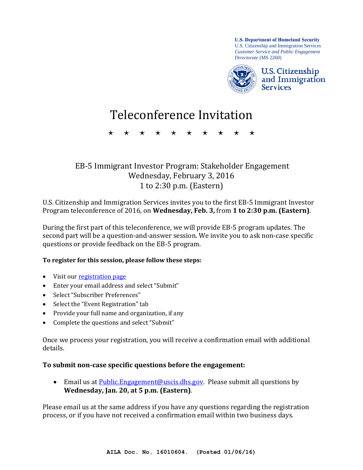**U.S. Department of Homeland Security** U.S. Citizenship and Immigration Services *Customer Service and Public Engagement Directorate* (MS 2260)



# Teleconference Invitation

\* \* \* \* \* \* \* \* \* \*

## EB-5 Immigrant Investor Program: Stakeholder Engagement Wednesday, February 3, 2016 1 to 2:30 p.m. (Eastern)

U.S. Citizenship and Immigration Services invites you to the first EB-5 Immigrant Investor Program teleconference of 2016, on **Wednesday, Feb. 3,** from **1 to 2:30 p.m. (Eastern)**.

During the first part of this teleconference, we will provide EB-5 program updates. The second part will be a question-and-answer session. We invite you to ask non-case specific questions or provide feedback on the EB-5 program.

#### **To register for this session, please follow these steps:**

- Visit our registration page
- Enter your email address and select "Submit"
- Select "Subscriber Preferences"
- Select the "Event Registration" tab
- Provide your full name and organization, if any
- Complete the questions and select "Submit"

Once we process your registration, you will receive a confirmation email with additional details.

#### **To submit non-case specific questions before the engagement:**

**Email us at Public. Engagement@uscis.dhs.gov.** Please submit all questions by **Wednesday, Jan. 20, at 5 p.m. (Eastern)**.

Please email us at the same address if you have any questions regarding the registration process, or if you have not received a confirmation email within two business days.